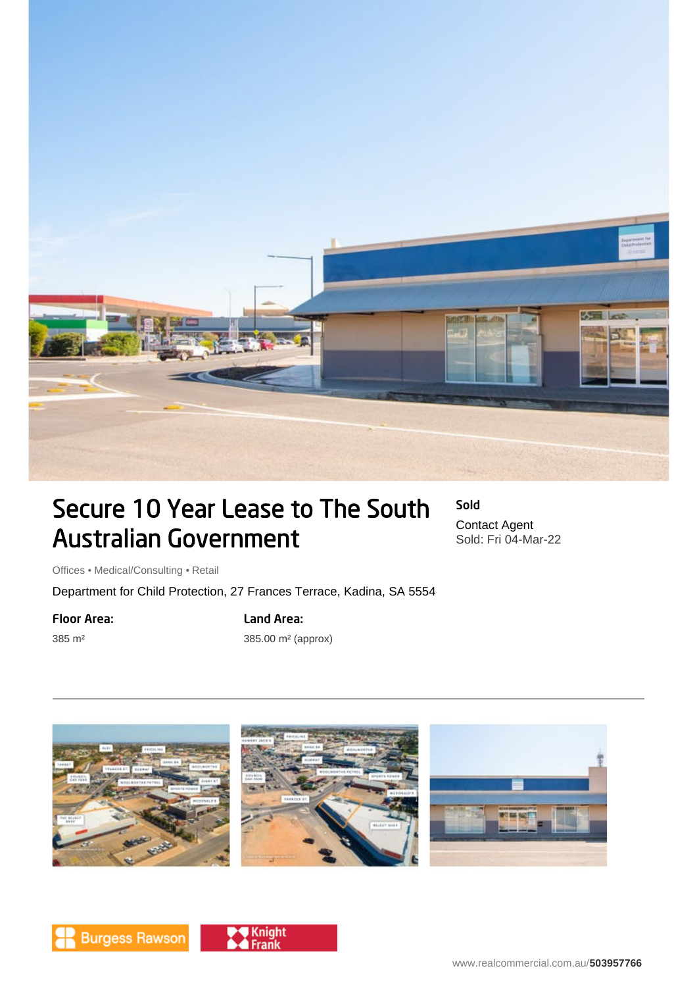

# Secure 10 Year Lease to The South Australian Government

Sold Contact Agent Sold: Fri 04-Mar-22

Offices • Medical/Consulting • Retail

Department for Child Protection, 27 Frances Terrace, Kadina, SA 5554

#### Floor Area:

385 m²

## Land Area:

385.00 m² (approx)